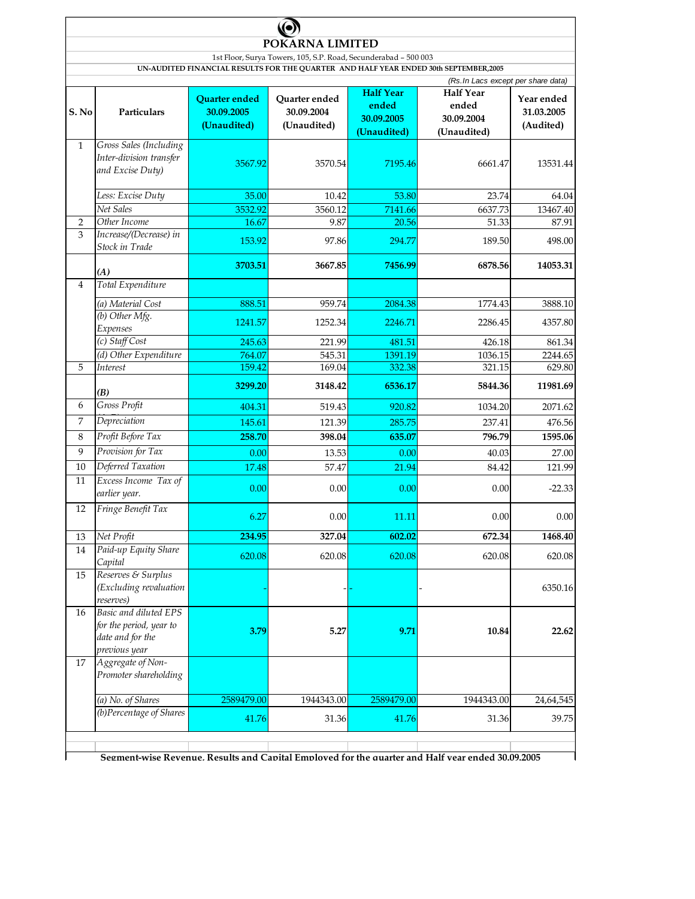|                |                                                                                              |                                            | POKARNA LIMITED                                                 |                                    |                                                                                                   |                                       |  |  |  |
|----------------|----------------------------------------------------------------------------------------------|--------------------------------------------|-----------------------------------------------------------------|------------------------------------|---------------------------------------------------------------------------------------------------|---------------------------------------|--|--|--|
|                |                                                                                              |                                            | 1st Floor, Surya Towers, 105, S.P. Road, Secunderabad - 500 003 |                                    |                                                                                                   |                                       |  |  |  |
|                |                                                                                              |                                            |                                                                 |                                    | UN-AUDITED FINANCIAL RESULTS FOR THE QUARTER AND HALF YEAR ENDED 30th SEPTEMBER,2005              |                                       |  |  |  |
|                |                                                                                              |                                            |                                                                 | <b>Half Year</b>                   | (Rs. In Lacs except per share data)                                                               |                                       |  |  |  |
| S. No          | Particulars                                                                                  | Quarter ended<br>30.09.2005<br>(Unaudited) | Quarter ended<br>30.09.2004<br>(Unaudited)                      | ended<br>30.09.2005<br>(Unaudited) | <b>Half Year</b><br>ended<br>30.09.2004<br>(Unaudited)                                            | Year ended<br>31.03.2005<br>(Audited) |  |  |  |
| $\mathbf{1}$   | Gross Sales (Including<br>Inter-division transfer<br>and Excise Duty)                        | 3567.92                                    | 3570.54                                                         | 7195.46                            | 6661.47                                                                                           | 13531.44                              |  |  |  |
|                | Less: Excise Duty                                                                            | 35.00                                      | 10.42                                                           | 53.80                              | 23.74                                                                                             | 64.04                                 |  |  |  |
|                | Net Sales                                                                                    | 3532.92                                    | 3560.12                                                         | 7141.66                            | 6637.73                                                                                           | 13467.40                              |  |  |  |
| 2              | Other Income                                                                                 | 16.67                                      | 9.87                                                            | 20.56                              | 51.33                                                                                             | 87.91                                 |  |  |  |
| 3              | Increase/(Decrease) in<br>Stock in Trade                                                     | 153.92                                     | 97.86                                                           | 294.77                             | 189.50                                                                                            | 498.00                                |  |  |  |
|                | (A)                                                                                          | 3703.51                                    | 3667.85                                                         | 7456.99                            | 6878.56                                                                                           | 14053.31                              |  |  |  |
| $\overline{4}$ | Total Expenditure                                                                            |                                            |                                                                 |                                    |                                                                                                   |                                       |  |  |  |
|                | (a) Material Cost                                                                            | 888.51                                     | 959.74                                                          | 2084.38                            | 1774.43                                                                                           | 3888.10                               |  |  |  |
|                | (b) Other Mfg.<br>Expenses                                                                   | 1241.57                                    | 1252.34                                                         | 2246.71                            | 2286.45                                                                                           | 4357.80                               |  |  |  |
|                | (c) Staff Cost                                                                               | 245.63                                     | 221.99                                                          | 481.51                             | 426.18                                                                                            | 861.34                                |  |  |  |
|                | (d) Other Expenditure                                                                        | 764.07                                     | 545.31                                                          | 1391.19                            | 1036.15                                                                                           | 2244.65                               |  |  |  |
| 5              | Interest                                                                                     | 159.42                                     | 169.04                                                          | 332.38                             | 321.15                                                                                            | 629.80                                |  |  |  |
|                | (B)                                                                                          | 3299.20                                    | 3148.42                                                         | 6536.17                            | 5844.36                                                                                           | 11981.69                              |  |  |  |
| 6              | Gross Profit                                                                                 | 404.31                                     | 519.43                                                          | 920.82                             | 1034.20                                                                                           | 2071.62                               |  |  |  |
| 7              | Depreciation                                                                                 | 145.61                                     | 121.39                                                          | 285.75                             | 237.41                                                                                            | 476.56                                |  |  |  |
| 8              | Profit Before Tax                                                                            | 258.70                                     | 398.04                                                          | 635.07                             | 796.79                                                                                            | 1595.06                               |  |  |  |
| 9              | Provision for Tax                                                                            | 0.00                                       | 13.53                                                           | 0.00                               | 40.03                                                                                             | 27.00                                 |  |  |  |
| 10             | Deferred Taxation                                                                            | 17.48                                      | 57.47                                                           | 21.94                              | 84.42                                                                                             | 121.99                                |  |  |  |
| 11             | Excess Income Tax of<br>earlier year.                                                        | 0.00                                       | 0.00                                                            | 0.00                               | 0.00                                                                                              | $-22.33$                              |  |  |  |
| 12             | Fringe Benefit Tax                                                                           | 6.27                                       | 0.00                                                            | 11.11                              | 0.00                                                                                              | 0.00                                  |  |  |  |
| 13             | Net Profit                                                                                   | 234.95                                     | 327.04                                                          | 602.02                             | 672.34                                                                                            | 1468.40                               |  |  |  |
| 14             | Paid-up Equity Share<br>Capital                                                              | 620.08                                     | 620.08                                                          | 620.08                             | 620.08                                                                                            | 620.08                                |  |  |  |
| 15             | Reserves & Surplus<br>(Excluding revaluation<br>reserves)                                    |                                            |                                                                 |                                    |                                                                                                   | 6350.16                               |  |  |  |
| 16             | <b>Basic and diluted EPS</b><br>for the period, year to<br>date and for the<br>previous year | 3.79                                       | 5.27                                                            | 9.71                               | 10.84                                                                                             | 22.62                                 |  |  |  |
| 17             | Aggregate of Non-<br>Promoter shareholding                                                   |                                            |                                                                 |                                    |                                                                                                   |                                       |  |  |  |
|                | (a) No. of Shares                                                                            | 2589479.00                                 | 1944343.00                                                      | 2589479.00                         | 1944343.00                                                                                        | 24,64,545                             |  |  |  |
|                | (b)Percentage of Shares                                                                      | 41.76                                      | 31.36                                                           | 41.76                              | 31.36                                                                                             | 39.75                                 |  |  |  |
|                |                                                                                              |                                            |                                                                 |                                    | Segment-wise Revenue. Results and Canital Emnloved for the quarter and Half vear ended 30.09.2005 |                                       |  |  |  |